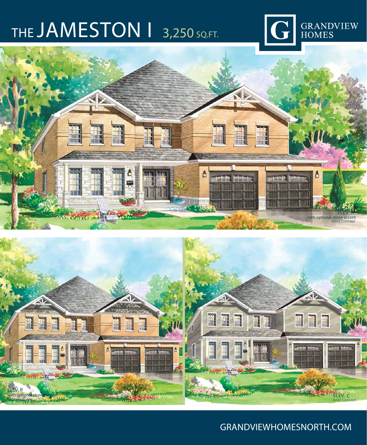

### THE JAMESTON 1 3,250 SQ.FT.





### GRANDVIEWHOMESNORTH.COM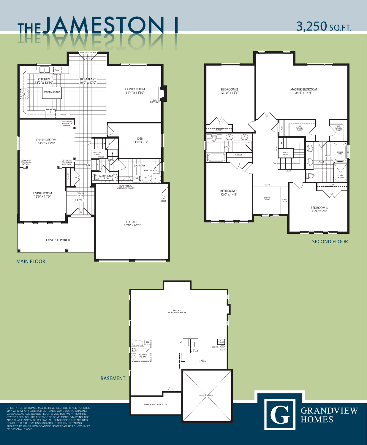ORIENTATION OF HOMES MAY BE REVERSED. STEPS AND PORCHES MAY VARY AT ANY EXTERIOR ENTRANCE WAYS DUE TO GRADING VARIANCE. ACTUAL USABLE FLOOR SPACE MAY VARY FROM THE STATED AREA. SQUARE FOOTAGE OF SOME MODELS MAY INCLUDE AREA THAT IS "OPEN TO BELOW". ALL RENDERINGS ARE ARTIST'S CONCEPT. SPECIFICATIONS AND ARCHITECTURAL DETAILING SUBJECT TO MINOR MODIFICATIONS.SOME FEATURES SHOWN MAY BE OPTIONAL.E.&O.E.

GRANDVIEW<br>HOMES

SECOND FLOOR





## THEJAMESTON I 3,250 SQ.FT.